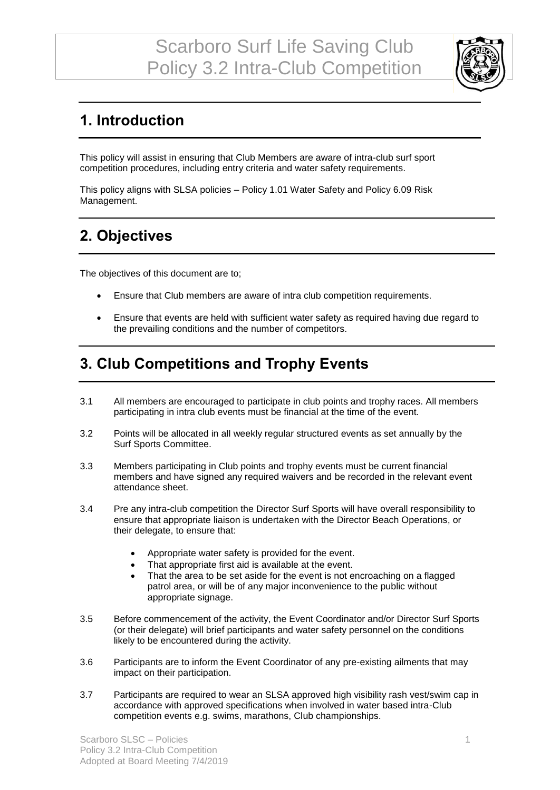

## **1. Introduction**

This policy will assist in ensuring that Club Members are aware of intra-club surf sport competition procedures, including entry criteria and water safety requirements.

This policy aligns with SLSA policies – Policy 1.01 Water Safety and Policy 6.09 Risk Management.

## **2. Objectives**

The objectives of this document are to;

- Ensure that Club members are aware of intra club competition requirements.
- Ensure that events are held with sufficient water safety as required having due regard to the prevailing conditions and the number of competitors.

#### **3. Club Competitions and Trophy Events**

- 3.1 All members are encouraged to participate in club points and trophy races. All members participating in intra club events must be financial at the time of the event.
- 3.2 Points will be allocated in all weekly regular structured events as set annually by the Surf Sports Committee.
- 3.3 Members participating in Club points and trophy events must be current financial members and have signed any required waivers and be recorded in the relevant event attendance sheet.
- 3.4 Pre any intra-club competition the Director Surf Sports will have overall responsibility to ensure that appropriate liaison is undertaken with the Director Beach Operations, or their delegate, to ensure that:
	- Appropriate water safety is provided for the event.
	- That appropriate first aid is available at the event.
	- That the area to be set aside for the event is not encroaching on a flagged patrol area, or will be of any major inconvenience to the public without appropriate signage.
- 3.5 Before commencement of the activity, the Event Coordinator and/or Director Surf Sports (or their delegate) will brief participants and water safety personnel on the conditions likely to be encountered during the activity.
- 3.6 Participants are to inform the Event Coordinator of any pre-existing ailments that may impact on their participation.
- 3.7 Participants are required to wear an SLSA approved high visibility rash vest/swim cap in accordance with approved specifications when involved in water based intra-Club competition events e.g. swims, marathons, Club championships.